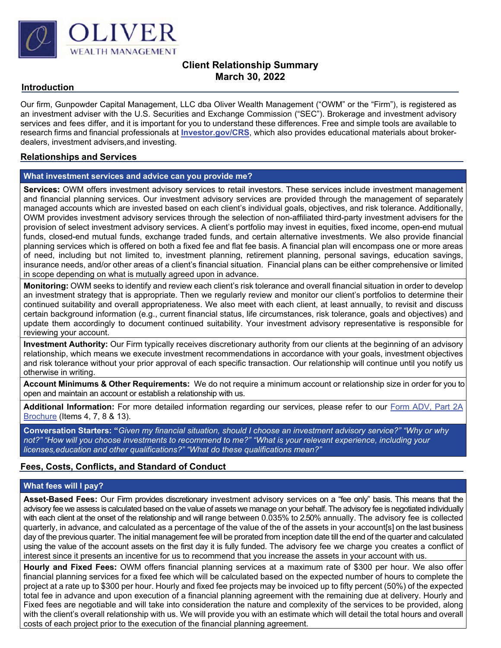

# **Client Relationship Summary March 30, 2022**

#### **Introduction**

Our firm, Gunpowder Capital Management, LLC dba Oliver Wealth Management ("OWM" or the "Firm"), is registered as an investment adviser with the U.S. Securities and Exchange Commission ("SEC"). Brokerage and investment advisory services and fees differ, and it is important for you to understand these differences. Free and simple tools are available to research firms and financial professionals at **[Investor.gov/CRS](http://www.investor.gov/CRS)**, which also provides educational materials about brokerdealers, investment advisers,and investing.

### **Relationships and Services**

#### **What investment services and advice can you provide me?**

**Services:** OWM offers investment advisory services to retail investors. These services include investment management and financial planning services. Our investment advisory services are provided through the management of separately managed accounts which are invested based on each client's individual goals, objectives, and risk tolerance. Additionally, OWM provides investment advisory services through the selection of non-affiliated third-party investment advisers for the provision of select investment advisory services. A client's portfolio may invest in equities, fixed income, open-end mutual funds, closed-end mutual funds, exchange traded funds, and certain alternative investments. We also provide financial planning services which is offered on both a fixed fee and flat fee basis. A financial plan will encompass one or more areas of need, including but not limited to, investment planning, retirement planning, personal savings, education savings, insurance needs, and/or other areas of a client's financial situation. Financial plans can be either comprehensive or limited in scope depending on what is mutually agreed upon in advance.

**Monitoring:** OWM seeks to identify and review each client's risk tolerance and overall financial situation in order to develop an investment strategy that is appropriate. Then we regularly review and monitor our client's portfolios to determine their continued suitability and overall appropriateness. We also meet with each client, at least annually, to revisit and discuss certain background information (e.g., current financial status, life circumstances, risk tolerance, goals and objectives) and update them accordingly to document continued suitability. Your investment advisory representative is responsible for reviewing your account.

**Investment Authority:** Our Firm typically receives discretionary authority from our clients at the beginning of an advisory relationship, which means we execute investment recommendations in accordance with your goals, investment objectives and risk tolerance without your prior approval of each specific transaction. Our relationship will continue until you notify us otherwise in writing.

**Account Minimums & Other Requirements:** We do not require a minimum account or relationship size in order for you to open and maintain an account or establish a relationship with us.

**Additional Information:** For more detailed information regarding our services, please refer to our [Form ADV, Part 2A](https://adviserinfo.sec.gov/firm/summary/314867)  [Brochure](https://adviserinfo.sec.gov/firm/summary/314867) (Items 4, 7, 8 & 13).

**Conversation Starters: "***Given my financial situation, should I choose an investment advisory service?" "Why or why* not?" "How will you choose investments to recommend to me?" "What is your relevant experience, including your *licenses,education and other qualifications?" "What do these qualifications mean?"*

### **Fees, Costs, Conflicts, and Standard of Conduct**

#### **What fees will I pay?**

**Asset-Based Fees:** Our Firm provides discretionary investment advisory services on a "fee only" basis. This means that the advisory fee we assess is calculated based on the value of assets we manage on your behalf. The advisory fee is negotiated individually with each client at the onset of the relationship and will range between 0.035% to 2.50% annually. The advisory fee is collected quarterly, in advance, and calculated as a percentage of the value of the of the assets in your account[s] on the last business day of the previous quarter. The initial management fee will be prorated from inception date till the end of the quarter and calculated using the value of the account assets on the first day it is fully funded. The advisory fee we charge you creates a conflict of interest since it presents an incentive for us to recommend that you increase the assets in your account with us.

**Hourly and Fixed Fees:** OWM offers financial planning services at a maximum rate of \$300 per hour. We also offer financial planning services for a fixed fee which will be calculated based on the expected number of hours to complete the project at a rate up to \$300 per hour. Hourly and fixed fee projects may be invoiced up to fifty percent (50%) of the expected total fee in advance and upon execution of a financial planning agreement with the remaining due at delivery. Hourly and Fixed fees are negotiable and will take into consideration the nature and complexity of the services to be provided, along with the client's overall relationship with us. We will provide you with an estimate which will detail the total hours and overall costs of each project prior to the execution of the financial planning agreement.